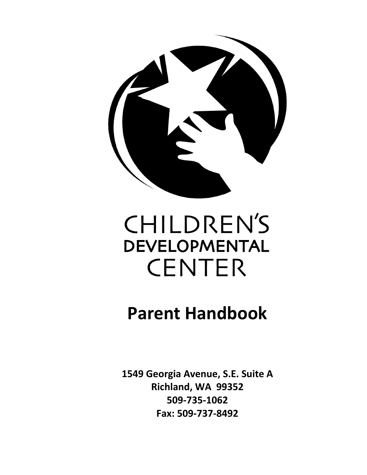

# **CHILDREN'S DEVELOPMENTAL CENTER**

## **Parent Handbook**

**1549 Georgia Avenue, S.E. Suite A Richland, WA 99352 509-735-1062 Fax: 509-737-8492**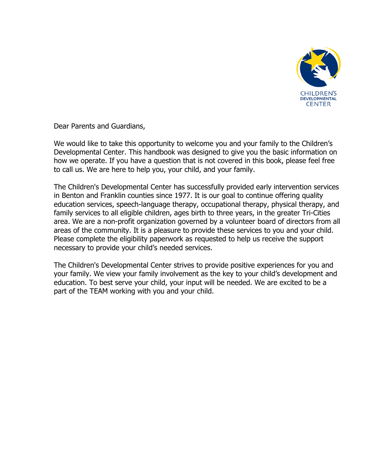

Dear Parents and Guardians,

We would like to take this opportunity to welcome you and your family to the Children's Developmental Center. This handbook was designed to give you the basic information on how we operate. If you have a question that is not covered in this book, please feel free to call us. We are here to help you, your child, and your family.

The Children's Developmental Center has successfully provided early intervention services in Benton and Franklin counties since 1977. It is our goal to continue offering quality education services, speech-language therapy, occupational therapy, physical therapy, and family services to all eligible children, ages birth to three years, in the greater Tri-Cities area. We are a non-profit organization governed by a volunteer board of directors from all areas of the community. It is a pleasure to provide these services to you and your child. Please complete the eligibility paperwork as requested to help us receive the support necessary to provide your child's needed services.

The Children's Developmental Center strives to provide positive experiences for you and your family. We view your family involvement as the key to your child's development and education. To best serve your child, your input will be needed. We are excited to be a part of the TEAM working with you and your child.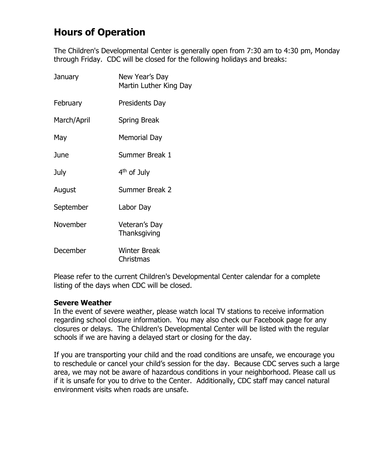## **Hours of Operation**

The Children's Developmental Center is generally open from 7:30 am to 4:30 pm, Monday through Friday. CDC will be closed for the following holidays and breaks:

| January     | New Year's Day<br>Martin Luther King Day |
|-------------|------------------------------------------|
| February    | Presidents Day                           |
| March/April | <b>Spring Break</b>                      |
| May         | <b>Memorial Day</b>                      |
| June        | Summer Break 1                           |
| July        | 4 <sup>th</sup> of July                  |
| August      | Summer Break 2                           |
| September   | Labor Day                                |
| November    | Veteran's Day<br>Thanksgiving            |
| December    | <b>Winter Break</b><br>Christmas         |

Please refer to the current Children's Developmental Center calendar for a complete listing of the days when CDC will be closed.

#### **Severe Weather**

In the event of severe weather, please watch local TV stations to receive information regarding school closure information. You may also check our Facebook page for any closures or delays. The Children's Developmental Center will be listed with the regular schools if we are having a delayed start or closing for the day.

If you are transporting your child and the road conditions are unsafe, we encourage you to reschedule or cancel your child's session for the day. Because CDC serves such a large area, we may not be aware of hazardous conditions in your neighborhood. Please call us if it is unsafe for you to drive to the Center. Additionally, CDC staff may cancel natural environment visits when roads are unsafe.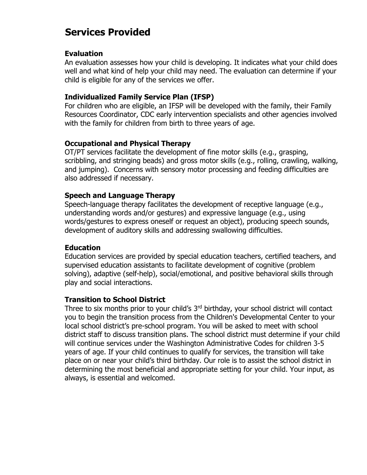## **Services Provided**

#### **Evaluation**

An evaluation assesses how your child is developing. It indicates what your child does well and what kind of help your child may need. The evaluation can determine if your child is eligible for any of the services we offer.

#### **Individualized Family Service Plan (IFSP)**

For children who are eligible, an IFSP will be developed with the family, their Family Resources Coordinator, CDC early intervention specialists and other agencies involved with the family for children from birth to three years of age.

#### **Occupational and Physical Therapy**

OT/PT services facilitate the development of fine motor skills (e.g., grasping, scribbling, and stringing beads) and gross motor skills (e.g., rolling, crawling, walking, and jumping). Concerns with sensory motor processing and feeding difficulties are also addressed if necessary.

#### **Speech and Language Therapy**

Speech-language therapy facilitates the development of receptive language (e.g., understanding words and/or gestures) and expressive language (e.g., using words/gestures to express oneself or request an object), producing speech sounds, development of auditory skills and addressing swallowing difficulties.

#### **Education**

Education services are provided by special education teachers, certified teachers, and supervised education assistants to facilitate development of cognitive (problem solving), adaptive (self-help), social/emotional, and positive behavioral skills through play and social interactions.

#### **Transition to School District**

Three to six months prior to your child's 3<sup>rd</sup> birthday, your school district will contact you to begin the transition process from the Children's Developmental Center to your local school district's pre-school program. You will be asked to meet with school district staff to discuss transition plans. The school district must determine if your child will continue services under the Washington Administrative Codes for children 3-5 years of age. If your child continues to qualify for services, the transition will take place on or near your child's third birthday. Our role is to assist the school district in determining the most beneficial and appropriate setting for your child. Your input, as always, is essential and welcomed.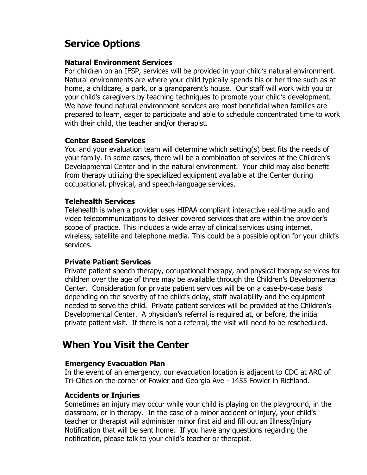## **Service Options**

#### **Natural Environment Services**

For children on an IFSP, services will be provided in your child's natural environment. Natural environments are where your child typically spends his or her time such as at home, a childcare, a park, or a grandparent's house. Our staff will work with you or your child's caregivers by teaching techniques to promote your child's development. We have found natural environment services are most beneficial when families are prepared to learn, eager to participate and able to schedule concentrated time to work with their child, the teacher and/or therapist.

#### **Center Based Services**

You and your evaluation team will determine which setting(s) best fits the needs of your family. In some cases, there will be a combination of services at the Children's Developmental Center and in the natural environment. Your child may also benefit from therapy utilizing the specialized equipment available at the Center during occupational, physical, and speech-language services.

#### **Telehealth Services**

Telehealth is when a provider uses HIPAA compliant interactive real-time audio and video telecommunications to deliver covered services that are within the provider's scope of practice. This includes a wide array of clinical services using internet, wireless, satellite and telephone media. This could be a possible option for your child's services.

#### **Private Patient Services**

Private patient speech therapy, occupational therapy, and physical therapy services for children over the age of three may be available through the Children's Developmental Center. Consideration for private patient services will be on a case-by-case basis depending on the severity of the child's delay, staff availability and the equipment needed to serve the child. Private patient services will be provided at the Children's Developmental Center. A physician's referral is required at, or before, the initial private patient visit. If there is not a referral, the visit will need to be rescheduled.

## **When You Visit the Center**

#### **Emergency Evacuation Plan**

In the event of an emergency, our evacuation location is adjacent to CDC at ARC of Tri-Cities on the corner of Fowler and Georgia Ave - 1455 Fowler in Richland.

#### **Accidents or Injuries**

Sometimes an injury may occur while your child is playing on the playground, in the classroom, or in therapy. In the case of a minor accident or injury, your child's teacher or therapist will administer minor first aid and fill out an Illness/Injury Notification that will be sent home. If you have any questions regarding the notification, please talk to your child's teacher or therapist.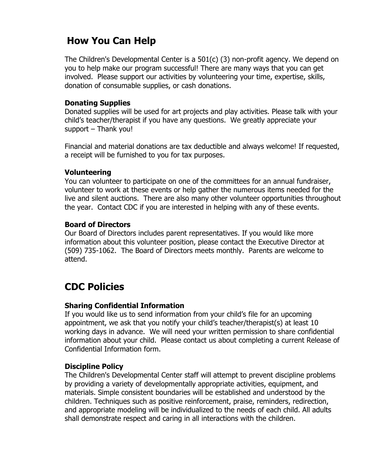## **How You Can Help**

The Children's Developmental Center is a 501(c) (3) non-profit agency. We depend on you to help make our program successful! There are many ways that you can get involved. Please support our activities by volunteering your time, expertise, skills, donation of consumable supplies, or cash donations.

#### **Donating Supplies**

Donated supplies will be used for art projects and play activities. Please talk with your child's teacher/therapist if you have any questions. We greatly appreciate your support – Thank you!

Financial and material donations are tax deductible and always welcome! If requested, a receipt will be furnished to you for tax purposes.

#### **Volunteering**

You can volunteer to participate on one of the committees for an annual fundraiser, volunteer to work at these events or help gather the numerous items needed for the live and silent auctions. There are also many other volunteer opportunities throughout the year. Contact CDC if you are interested in helping with any of these events.

#### **Board of Directors**

Our Board of Directors includes parent representatives. If you would like more information about this volunteer position, please contact the Executive Director at (509) 735-1062. The Board of Directors meets monthly. Parents are welcome to attend.

## **CDC Policies**

#### **Sharing Confidential Information**

If you would like us to send information from your child's file for an upcoming appointment, we ask that you notify your child's teacher/therapist(s) at least 10 working days in advance. We will need your written permission to share confidential information about your child. Please contact us about completing a current Release of Confidential Information form.

#### **Discipline Policy**

The Children's Developmental Center staff will attempt to prevent discipline problems by providing a variety of developmentally appropriate activities, equipment, and materials. Simple consistent boundaries will be established and understood by the children. Techniques such as positive reinforcement, praise, reminders, redirection, and appropriate modeling will be individualized to the needs of each child. All adults shall demonstrate respect and caring in all interactions with the children.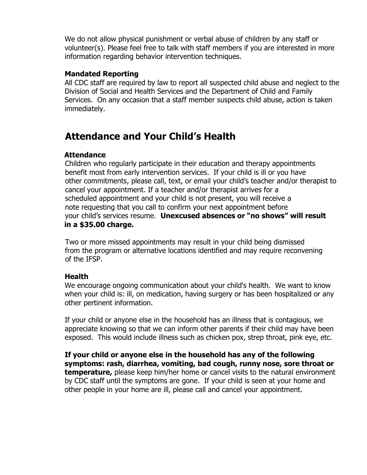We do not allow physical punishment or verbal abuse of children by any staff or volunteer(s). Please feel free to talk with staff members if you are interested in more information regarding behavior intervention techniques.

#### **Mandated Reporting**

All CDC staff are required by law to report all suspected child abuse and neglect to the Division of Social and Health Services and the Department of Child and Family Services. On any occasion that a staff member suspects child abuse, action is taken immediately.

## **Attendance and Your Child's Health**

#### **Attendance**

 Children who regularly participate in their education and therapy appointments benefit most from early intervention services. If your child is ill or you have other commitments, please call, text, or email your child's teacher and/or therapist to cancel your appointment. If a teacher and/or therapist arrives for a scheduled appointment and your child is not present, you will receive a note requesting that you call to confirm your next appointment before your child's services resume. **Unexcused absences or "no shows" will result in a \$35.00 charge.**

 Two or more missed appointments may result in your child being dismissed from the program or alternative locations identified and may require reconvening of the IFSP.

#### **Health**

We encourage ongoing communication about your child's health. We want to know when your child is: ill, on medication, having surgery or has been hospitalized or any other pertinent information.

If your child or anyone else in the household has an illness that is contagious, we appreciate knowing so that we can inform other parents if their child may have been exposed. This would include illness such as chicken pox, strep throat, pink eye, etc.

**If your child or anyone else in the household has any of the following symptoms: rash, diarrhea, vomiting, bad cough, runny nose, sore throat or temperature,** please keep him/her home or cancel visits to the natural environment by CDC staff until the symptoms are gone. If your child is seen at your home and other people in your home are ill, please call and cancel your appointment.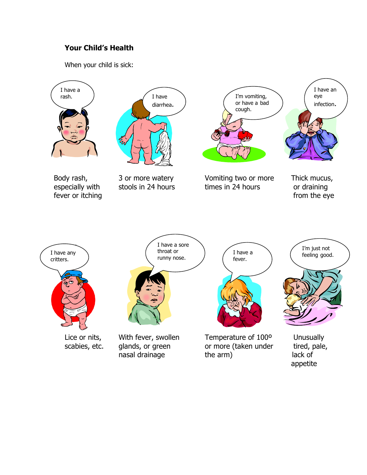#### **Your Child's Health**

When your child is sick:

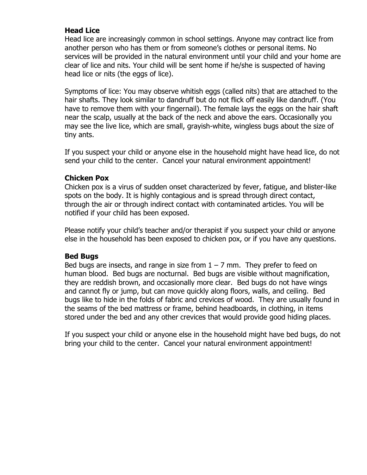#### **Head Lice**

Head lice are increasingly common in school settings. Anyone may contract lice from another person who has them or from someone's clothes or personal items. No services will be provided in the natural environment until your child and your home are clear of lice and nits. Your child will be sent home if he/she is suspected of having head lice or nits (the eggs of lice).

Symptoms of lice: You may observe whitish eggs (called nits) that are attached to the hair shafts. They look similar to dandruff but do not flick off easily like dandruff. (You have to remove them with your fingernail). The female lays the eggs on the hair shaft near the scalp, usually at the back of the neck and above the ears. Occasionally you may see the live lice, which are small, grayish-white, wingless bugs about the size of tiny ants.

If you suspect your child or anyone else in the household might have head lice, do not send your child to the center. Cancel your natural environment appointment!

#### **Chicken Pox**

Chicken pox is a virus of sudden onset characterized by fever, fatigue, and blister-like spots on the body. It is highly contagious and is spread through direct contact, through the air or through indirect contact with contaminated articles. You will be notified if your child has been exposed.

Please notify your child's teacher and/or therapist if you suspect your child or anyone else in the household has been exposed to chicken pox, or if you have any questions.

#### **Bed Bugs**

Bed bugs are insects, and range in size from  $1 - 7$  mm. They prefer to feed on human blood. Bed bugs are nocturnal. Bed bugs are visible without magnification, they are reddish brown, and occasionally more clear. Bed bugs do not have wings and cannot fly or jump, but can move quickly along floors, walls, and ceiling. Bed bugs like to hide in the folds of fabric and crevices of wood. They are usually found in the seams of the bed mattress or frame, behind headboards, in clothing, in items stored under the bed and any other crevices that would provide good hiding places.

If you suspect your child or anyone else in the household might have bed bugs, do not bring your child to the center. Cancel your natural environment appointment!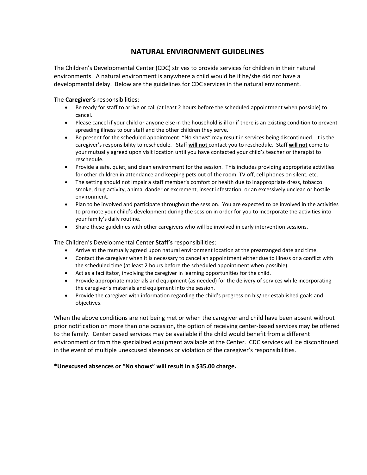#### **NATURAL ENVIRONMENT GUIDELINES**

The Children's Developmental Center (CDC) strives to provide services for children in their natural environments. A natural environment is anywhere a child would be if he/she did not have a developmental delay. Below are the guidelines for CDC services in the natural environment.

The **Caregiver's** responsibilities:

- Be ready for staff to arrive or call (at least 2 hours before the scheduled appointment when possible) to cancel.
- Please cancel if your child or anyone else in the household is ill or if there is an existing condition to prevent spreading illness to our staff and the other children they serve.
- Be present for the scheduled appointment: "No shows" may result in services being discontinued. It is the caregiver's responsibility to reschedule. Staff **will not** contact you to reschedule. Staff **will not** come to your mutually agreed upon visit location until you have contacted your child's teacher or therapist to reschedule.
- Provide a safe, quiet, and clean environment for the session. This includes providing appropriate activities for other children in attendance and keeping pets out of the room, TV off, cell phones on silent, etc.
- The setting should not impair a staff member's comfort or health due to inappropriate dress, tobacco smoke, drug activity, animal dander or excrement, insect infestation, or an excessively unclean or hostile environment.
- Plan to be involved and participate throughout the session. You are expected to be involved in the activities to promote your child's development during the session in order for you to incorporate the activities into your family's daily routine.
- Share these guidelines with other caregivers who will be involved in early intervention sessions.

The Children's Developmental Center **Staff's** responsibilities:

- Arrive at the mutually agreed upon natural environment location at the prearranged date and time.
- Contact the caregiver when it is necessary to cancel an appointment either due to illness or a conflict with the scheduled time (at least 2 hours before the scheduled appointment when possible).
- Act as a facilitator, involving the caregiver in learning opportunities for the child.
- Provide appropriate materials and equipment (as needed) for the delivery of services while incorporating the caregiver's materials and equipment into the session.
- Provide the caregiver with information regarding the child's progress on his/her established goals and objectives.

When the above conditions are not being met or when the caregiver and child have been absent without prior notification on more than one occasion, the option of receiving center-based services may be offered to the family. Center based services may be available if the child would benefit from a different environment or from the specialized equipment available at the Center. CDC services will be discontinued in the event of multiple unexcused absences or violation of the caregiver's responsibilities.

#### **\*Unexcused absences or "No shows" will result in a \$35.00 charge.**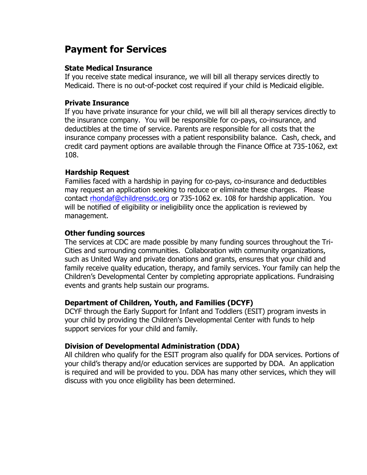### **Payment for Services**

#### **State Medical Insurance**

If you receive state medical insurance, we will bill all therapy services directly to Medicaid. There is no out-of-pocket cost required if your child is Medicaid eligible.

#### **Private Insurance**

If you have private insurance for your child, we will bill all therapy services directly to the insurance company. You will be responsible for co-pays, co-insurance, and deductibles at the time of service. Parents are responsible for all costs that the insurance company processes with a patient responsibility balance. Cash, check, and credit card payment options are available through the Finance Office at 735-1062, ext 108.

#### **Hardship Request**

Families faced with a hardship in paying for co-pays, co-insurance and deductibles may request an application seeking to reduce or eliminate these charges. Please contact [rhondaf@childrensdc.org](mailto:rhondaf@childrensdc.org) or 735-1062 ex. 108 for hardship application. You will be notified of eligibility or ineligibility once the application is reviewed by management.

#### **Other funding sources**

The services at CDC are made possible by many funding sources throughout the Tri-Cities and surrounding communities. Collaboration with community organizations, such as United Way and private donations and grants, ensures that your child and family receive quality education, therapy, and family services. Your family can help the Children's Developmental Center by completing appropriate applications. Fundraising events and grants help sustain our programs.

#### **Department of Children, Youth, and Families (DCYF)**

DCYF through the Early Support for Infant and Toddlers (ESIT) program invests in your child by providing the Children's Developmental Center with funds to help support services for your child and family.

#### **Division of Developmental Administration (DDA)**

All children who qualify for the ESIT program also qualify for DDA services. Portions of your child's therapy and/or education services are supported by DDA. An application is required and will be provided to you. DDA has many other services, which they will discuss with you once eligibility has been determined.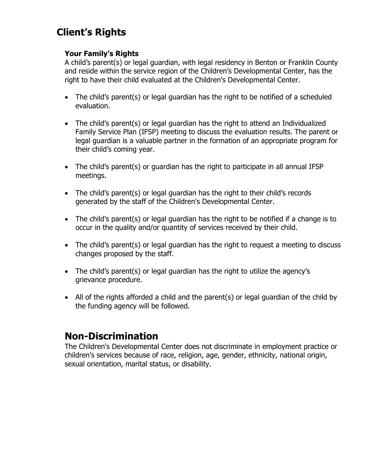## **Client's Rights**

#### **Your Family's Rights**

A child's parent(s) or legal guardian, with legal residency in Benton or Franklin County and reside within the service region of the Children's Developmental Center, has the right to have their child evaluated at the Children's Developmental Center.

- The child's parent(s) or legal guardian has the right to be notified of a scheduled evaluation.
- The child's parent(s) or legal guardian has the right to attend an Individualized Family Service Plan (IFSP) meeting to discuss the evaluation results. The parent or legal guardian is a valuable partner in the formation of an appropriate program for their child's coming year.
- The child's parent(s) or guardian has the right to participate in all annual IFSP meetings.
- The child's parent(s) or legal guardian has the right to their child's records generated by the staff of the Children's Developmental Center.
- The child's parent(s) or legal guardian has the right to be notified if a change is to occur in the quality and/or quantity of services received by their child.
- The child's parent(s) or legal guardian has the right to request a meeting to discuss changes proposed by the staff.
- The child's parent(s) or legal guardian has the right to utilize the agency's grievance procedure.
- All of the rights afforded a child and the parent(s) or legal guardian of the child by the funding agency will be followed.

## **Non-Discrimination**

The Children's Developmental Center does not discriminate in employment practice or children's services because of race, religion, age, gender, ethnicity, national origin, sexual orientation, marital status, or disability.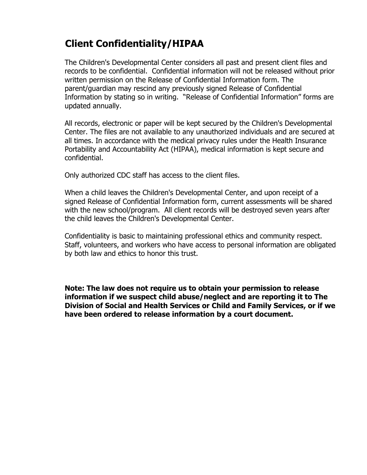## **Client Confidentiality/HIPAA**

The Children's Developmental Center considers all past and present client files and records to be confidential. Confidential information will not be released without prior written permission on the Release of Confidential Information form. The parent/guardian may rescind any previously signed Release of Confidential Information by stating so in writing. "Release of Confidential Information" forms are updated annually.

All records, electronic or paper will be kept secured by the Children's Developmental Center. The files are not available to any unauthorized individuals and are secured at all times. In accordance with the medical privacy rules under the Health Insurance Portability and Accountability Act (HIPAA), medical information is kept secure and confidential.

Only authorized CDC staff has access to the client files.

When a child leaves the Children's Developmental Center, and upon receipt of a signed Release of Confidential Information form, current assessments will be shared with the new school/program. All client records will be destroyed seven years after the child leaves the Children's Developmental Center.

Confidentiality is basic to maintaining professional ethics and community respect. Staff, volunteers, and workers who have access to personal information are obligated by both law and ethics to honor this trust.

**Note: The law does not require us to obtain your permission to release information if we suspect child abuse/neglect and are reporting it to The Division of Social and Health Services or Child and Family Services, or if we have been ordered to release information by a court document.**